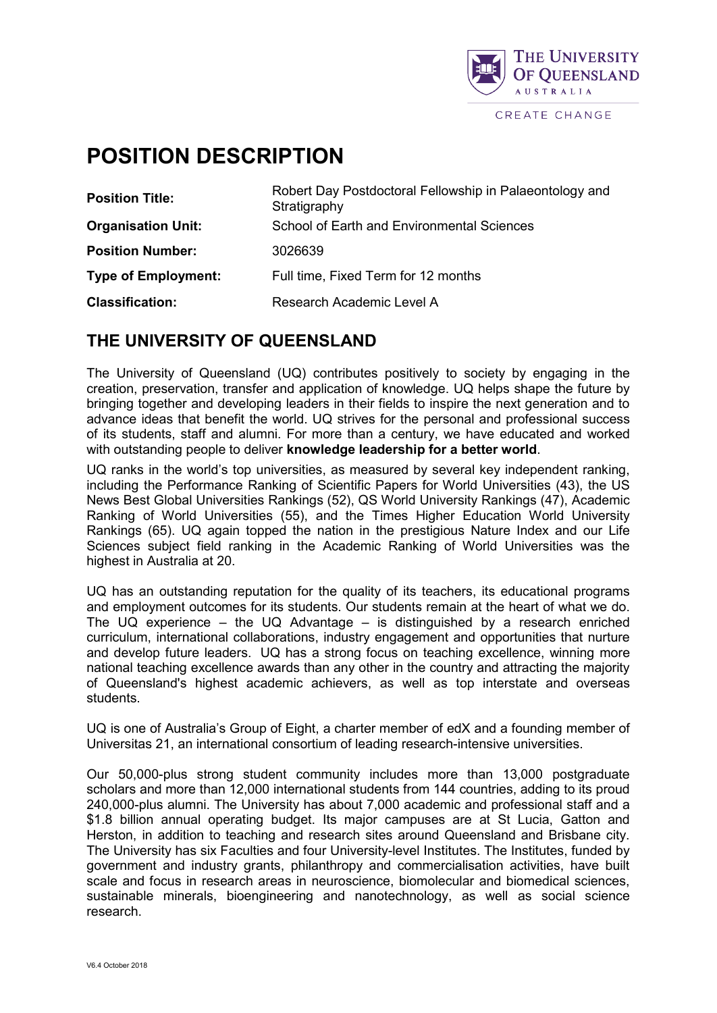

# **POSITION DESCRIPTION**

| <b>Position Title:</b>     | Robert Day Postdoctoral Fellowship in Palaeontology and<br>Stratigraphy |
|----------------------------|-------------------------------------------------------------------------|
| <b>Organisation Unit:</b>  | School of Earth and Environmental Sciences                              |
| <b>Position Number:</b>    | 3026639                                                                 |
| <b>Type of Employment:</b> | Full time, Fixed Term for 12 months                                     |
| <b>Classification:</b>     | Research Academic Level A                                               |

## **THE UNIVERSITY OF QUEENSLAND**

The University of Queensland (UQ) contributes positively to society by engaging in the creation, preservation, transfer and application of knowledge. UQ helps shape the future by bringing together and developing leaders in their fields to inspire the next generation and to advance ideas that benefit the world. UQ strives for the personal and professional success of its students, staff and alumni. For more than a century, we have educated and worked with outstanding people to deliver **knowledge leadership for a better world**.

UQ ranks in the world's top universities, as measured by several key independent ranking, including the Performance Ranking of Scientific Papers for World Universities (43), the US News Best Global Universities Rankings (52), QS World University Rankings (47), Academic Ranking of World Universities (55), and the Times Higher Education World University Rankings (65). UQ again topped the nation in the prestigious Nature Index and our Life Sciences subject field ranking in the Academic Ranking of World Universities was the highest in Australia at 20.

UQ has an outstanding reputation for the quality of its teachers, its educational programs and employment outcomes for its students. Our students remain at the heart of what we do. The UQ experience – the UQ Advantage – is distinguished by a research enriched curriculum, international collaborations, industry engagement and opportunities that nurture and develop future leaders. UQ has a strong focus on [teaching excellence,](http://www.uq.edu.au/teaching-learning/index.html?page=49808) winning more national teaching excellence awards than any other in the country and attracting the majority of Queensland's highest academic achievers, as well as top interstate and overseas students.

UQ is one of Australia's Group of Eight, a charter member of edX and a founding member of Universitas 21, an international consortium of leading research-intensive universities.

Our 50,000-plus strong student community includes more than 13,000 postgraduate scholars and more than 12,000 international students from 144 countries, adding to its proud 240,000-plus alumni. The University has about 7,000 academic and professional staff and a \$1.8 billion annual operating budget. Its major campuses are at St Lucia, Gatton and Herston, in addition to teaching and research sites around Queensland and Brisbane city. The University has six Faculties and four University-level Institutes. The Institutes, funded by government and industry grants, philanthropy and commercialisation activities, have built scale and focus in research areas in neuroscience, biomolecular and biomedical sciences, sustainable minerals, bioengineering and nanotechnology, as well as social science research.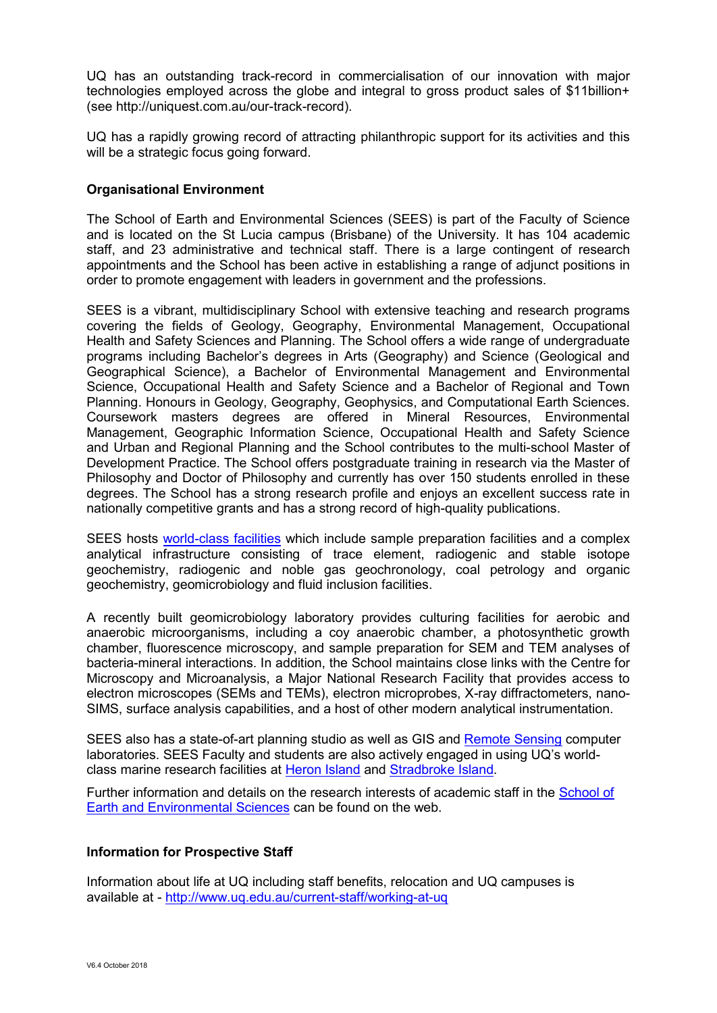UQ has an outstanding track-record in commercialisation of our innovation with major technologies employed across the globe and integral to gross product sales of \$11billion+ (see [http://uniquest.com.au/our-track-record\)](http://uniquest.com.au/our-track-record).

UQ has a rapidly growing record of attracting philanthropic support for its activities and this will be a strategic focus going forward.

### **Organisational Environment**

The School of Earth and Environmental Sciences (SEES) is part of the Faculty of Science and is located on the St Lucia campus (Brisbane) of the University. It has 104 academic staff, and 23 administrative and technical staff. There is a large contingent of research appointments and the School has been active in establishing a range of adjunct positions in order to promote engagement with leaders in government and the professions.

SEES is a vibrant, multidisciplinary School with extensive teaching and research programs covering the fields of Geology, Geography, Environmental Management, Occupational Health and Safety Sciences and Planning. The School offers a wide range of undergraduate programs including Bachelor's degrees in Arts (Geography) and Science (Geological and Geographical Science), a Bachelor of Environmental Management and Environmental Science, Occupational Health and Safety Science and a Bachelor of Regional and Town Planning. Honours in Geology, Geography, Geophysics, and Computational Earth Sciences. Coursework masters degrees are offered in Mineral Resources, Environmental Management, Geographic Information Science, Occupational Health and Safety Science and Urban and Regional Planning and the School contributes to the multi-school Master of Development Practice. The School offers postgraduate training in research via the Master of Philosophy and Doctor of Philosophy and currently has over 150 students enrolled in these degrees. The School has a strong research profile and enjoys an excellent success rate in nationally competitive grants and has a strong record of high-quality publications.

SEES hosts [world-class facilities](https://sees.uq.edu.au/research/equipment-and-facilities) which include sample preparation facilities and a complex analytical infrastructure consisting of trace element, radiogenic and stable isotope geochemistry, radiogenic and noble gas geochronology, coal petrology and organic geochemistry, geomicrobiology and fluid inclusion facilities.

A recently built geomicrobiology laboratory provides culturing facilities for aerobic and anaerobic microorganisms, including a coy anaerobic chamber, a photosynthetic growth chamber, fluorescence microscopy, and sample preparation for SEM and TEM analyses of bacteria-mineral interactions. In addition, the School maintains close links with the Centre for Microscopy and Microanalysis, a Major National Research Facility that provides access to electron microscopes (SEMs and TEMs), electron microprobes, X-ray diffractometers, nano-SIMS, surface analysis capabilities, and a host of other modern analytical instrumentation.

SEES also has a state-of-art planning studio as well as GIS and [Remote Sensing](https://sees.uq.edu.au/remote-sensing-research-centre) computer laboratories. SEES Faculty and students are also actively engaged in using UQ's worldclass marine research facilities at [Heron Island](https://www.uq.edu.au/heron-island-research-station/content/front-page) and [Stradbroke Island.](http://www.uq.edu.au/moreton-bay-research-station/content/front-page)

Further information and details on the research interests of academic staff in the [School of](https://sees.uq.edu.au/)  [Earth and Environmental Sciences](https://sees.uq.edu.au/) can be found on the web.

#### **Information for Prospective Staff**

Information about life at UQ including staff benefits, relocation and UQ campuses is available at - <http://www.uq.edu.au/current-staff/working-at-uq>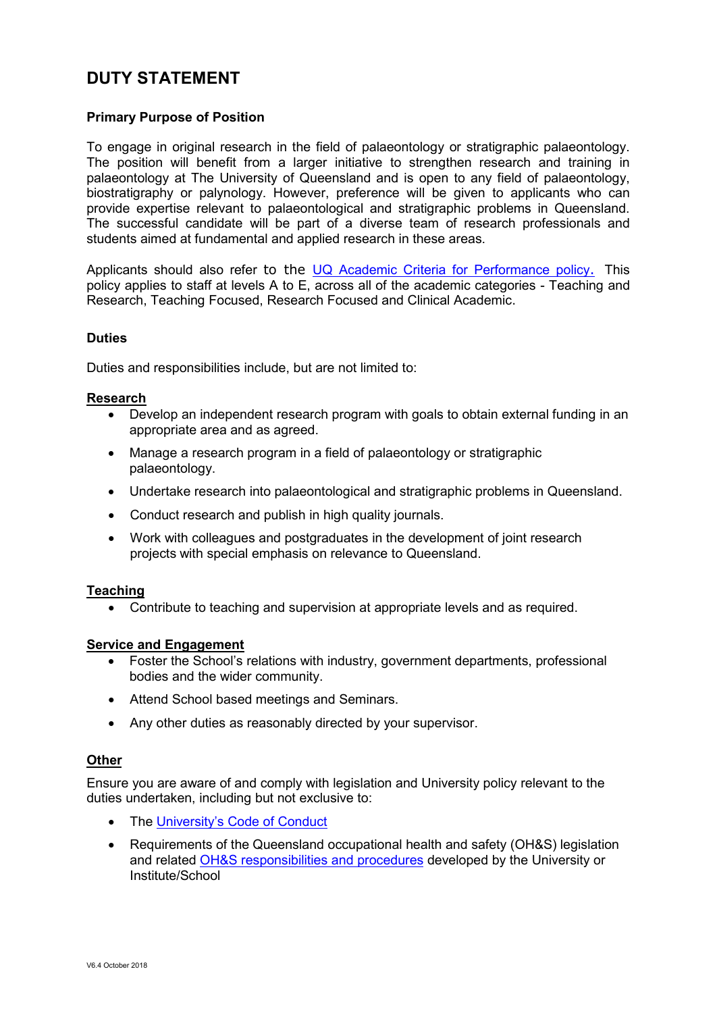# **DUTY STATEMENT**

### **Primary Purpose of Position**

To engage in original research in the field of palaeontology or stratigraphic palaeontology. The position will benefit from a larger initiative to strengthen research and training in palaeontology at The University of Queensland and is open to any field of palaeontology, biostratigraphy or palynology. However, preference will be given to applicants who can provide expertise relevant to palaeontological and stratigraphic problems in Queensland. The successful candidate will be part of a diverse team of research professionals and students aimed at fundamental and applied research in these areas.

Applicants should also refer to the [UQ Academic Criteria for Performance policy](http://ppl.app.uq.edu.au/content/5.70.17-criteria-academic-performance). This policy applies to staff at levels A to E, across all of the academic categories - Teaching and Research, Teaching Focused, Research Focused and Clinical Academic.

#### **Duties**

Duties and responsibilities include, but are not limited to:

#### **Research**

- Develop an independent research program with goals to obtain external funding in an appropriate area and as agreed.
- Manage a research program in a field of palaeontology or stratigraphic palaeontology.
- Undertake research into palaeontological and stratigraphic problems in Queensland.
- Conduct research and publish in high quality journals.
- Work with colleagues and postgraduates in the development of joint research projects with special emphasis on relevance to Queensland.

#### **Teaching**

• Contribute to teaching and supervision at appropriate levels and as required.

#### **Service and Engagement**

- Foster the School's relations with industry, government departments, professional bodies and the wider community.
- Attend School based meetings and Seminars.
- Any other duties as reasonably directed by your supervisor.

#### **Other**

Ensure you are aware of and comply with legislation and University policy relevant to the duties undertaken, including but not exclusive to:

- The [University's Code of Conduct](http://ppl.app.uq.edu.au/content/1.50.01-code-conduct)
- Requirements of the Queensland occupational health and safety (OH&S) legislation and related [OH&S responsibilities and procedures](http://www.uq.edu.au/ohs/index.html?page=133956) developed by the University or Institute/School